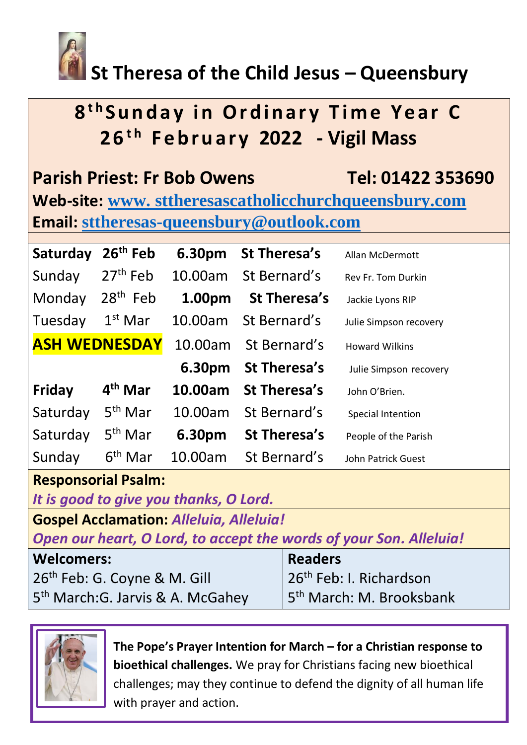

# **St Theresa of the Child Jesus – Queensbury**

# **8 t h S u n d a y i n O r d i n a r y T i m e Y e a r C 2 6t h F e b r u a r y 2022 - Vigil Mass**

| <b>Parish Priest: Fr Bob Owens</b>                    | Tel: 01422 353690 |
|-------------------------------------------------------|-------------------|
| Web-site: www. sttheresascatholicchurchqueensbury.com |                   |
| <b>Email: sttheresas-queensbury@outlook.com</b>       |                   |

| Saturday             | $26th$ Feb          | 6.30pm  | St Theresa's         | Allan McDermott        |
|----------------------|---------------------|---------|----------------------|------------------------|
| Sunday               | $27th$ Feb          | 10.00am | St Bernard's         | Rev Fr. Tom Durkin     |
| Monday               | $28th$ Feb          | 1.00pm  | St Theresa's         | Jackie Lyons RIP       |
| Tuesday              | $1st$ Mar           | 10.00am | St Bernard's         | Julie Simpson recovery |
| <b>ASH WEDNESDAY</b> |                     |         | 10.00am St Bernard's | <b>Howard Wilkins</b>  |
|                      |                     | 6.30pm  | St Theresa's         | Julie Simpson recovery |
| <b>Friday</b>        | 4 <sup>th</sup> Mar | 10.00am | <b>St Theresa's</b>  | John O'Brien.          |
| Saturday             | $5th$ Mar           | 10.00am | St Bernard's         | Special Intention      |
| Saturday             | 5 <sup>th</sup> Mar | 6.30pm  | St Theresa's         | People of the Parish   |
| Sunday               | $6th$ Mar           | 10.00am | St Bernard's         | John Patrick Guest     |

#### **Responsorial Psalm:**

*It is good to give you thanks, O Lord.*

**Gospel Acclamation:** *Alleluia, Alleluia!*

*Open our heart, O Lord, to accept the words of your Son. Alleluia!*

| <b>Welcomers:</b>                             | <b>Readers</b>                        |  |
|-----------------------------------------------|---------------------------------------|--|
| 26 <sup>th</sup> Feb: G. Coyne & M. Gill      | 26 <sup>th</sup> Feb: I. Richardson   |  |
| 5 <sup>th</sup> March: G. Jarvis & A. McGahey | 15 <sup>th</sup> March: M. Brooksbank |  |



**The Pope's Prayer Intention for March – for a Christian response to bioethical challenges.** We pray for Christians facing new bioethical challenges; may they continue to defend the dignity of all human life with prayer and action.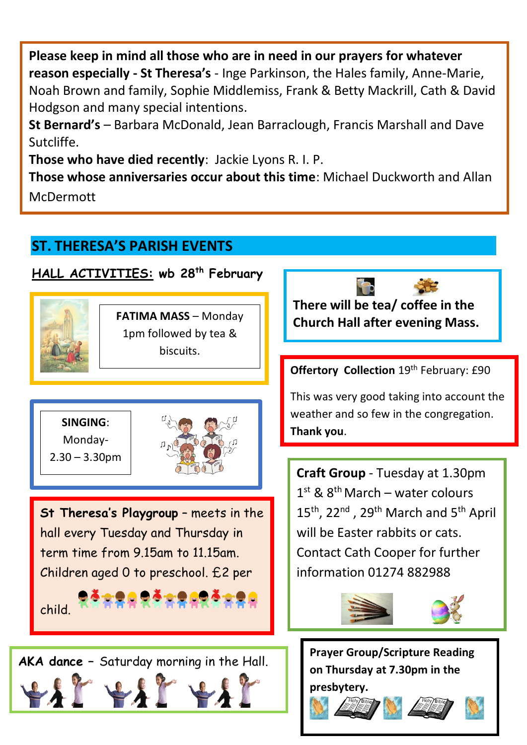**Please keep in mind all those who are in need in our prayers for whatever reason especially - St Theresa's** - Inge Parkinson, the Hales family, Anne-Marie, Noah Brown and family, Sophie Middlemiss, Frank & Betty Mackrill, Cath & David Hodgson and many special intentions.

**St Bernard's** – Barbara McDonald, Jean Barraclough, Francis Marshall and Dave Sutcliffe.

**Those who have died recently**: Jackie Lyons R. I. P.

**Those whose anniversaries occur about this time**: Michael Duckworth and Allan McDermott

## **ST. THERESA'S PARISH EVENTS**

#### **HALL ACTIVITIES: wb 28th February**



**FATIMA MASS** – Monday 1pm followed by tea & biscuits.



 $2.30 - 3.30$ pm



**St Theresa's Playgroup** – meets in the hall every Tuesday and Thursday in term time from 9.15am to 11.15am. Children aged 0 to preschool. £2 per

child.

 $\overline{a}$ 



**There will be tea/ coffee in the Church Hall after evening Mass.** 

**Offertory Collection** 19<sup>th</sup> February: £90

This was very good taking into account the weather and so few in the congregation. **Thank you**.

**Craft Group** - Tuesday at 1.30pm 1<sup>st</sup> & 8<sup>th</sup> March – water colours 15<sup>th</sup>, 22<sup>nd</sup>, 29<sup>th</sup> March and 5<sup>th</sup> April will be Easter rabbits or cats. Contact Cath Cooper for further information 01274 882988



**Prayer Group/Scripture Reading on Thursday at 7.30pm in the presbytery.** 





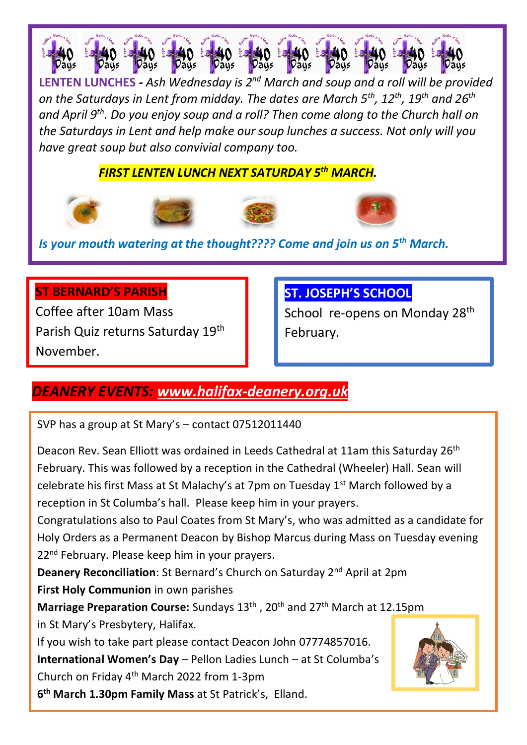

**LENTEN LUNCHES** *- Ash Wednesday is 2nd March and soup and a roll will be provided on the Saturdays in Lent from midday. The dates are March 5th, 12th, 19th and 26th and April 9th. Do you enjoy soup and a roll? Then come along to the Church hall on the Saturdays in Lent and help make our soup lunches a success. Not only will you have great soup but also convivial company too.* 

 *FIRST LENTEN LUNCH NEXT SATURDAY 5 th MARCH.* 









*Is your mouth watering at the thought???? Come and join us on 5th March.*

#### **ST BERNARD'S PARISH**

Coffee after 10am Mass Parish Quiz returns Saturday 19<sup>th</sup> November.

### **ST. JOSEPH'S SCHOOL**

School re-opens on Monday 28<sup>th</sup> February.

### *DEANERY EVENTS: [www.halifax-deanery.org.uk](http://www.halifax-deanery.org.uk/)*

SVP has a group at St Mary's – contact 07512011440

Deacon Rev. Sean Elliott was ordained in Leeds Cathedral at 11am this Saturday 26<sup>th</sup> February. This was followed by a reception in the Cathedral (Wheeler) Hall. Sean will celebrate his first Mass at St Malachy's at 7pm on Tuesday  $1<sup>st</sup>$  March followed by a reception in St Columba's hall. Please keep him in your prayers.

Congratulations also to Paul Coates from St Mary's, who was admitted as a candidate for Holy Orders as a Permanent Deacon by Bishop Marcus during Mass on Tuesday evening 22<sup>nd</sup> February. Please keep him in your prayers.

**Deanery Reconciliation**: St Bernard's Church on Saturday 2nd April at 2pm

**First Holy Communion** in own parishes

**Marriage Preparation Course:** Sundays 13<sup>th</sup>, 20<sup>th</sup> and 27<sup>th</sup> March at 12.15pm in St Mary's Presbytery, Halifax.

If you wish to take part please contact Deacon John 07774857016. **International Women's Day** – Pellon Ladies Lunch – at St Columba's Church on Friday 4th March 2022 from 1-3pm

**6 th March 1.30pm Family Mass** at St Patrick's, Elland.